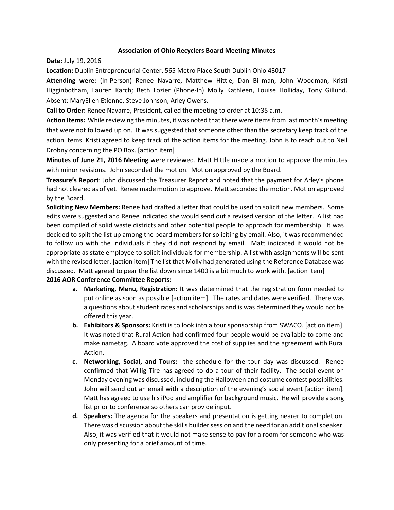## **Association of Ohio Recyclers Board Meeting Minutes**

**Date:** July 19, 2016

**Location:** Dublin Entrepreneurial Center, 565 Metro Place South Dublin Ohio 43017

**Attending were:** (In-Person) Renee Navarre, Matthew Hittle, Dan Billman, John Woodman, Kristi Higginbotham, Lauren Karch; Beth Lozier (Phone-In) Molly Kathleen, Louise Holliday, Tony Gillund. Absent: MaryEllen Etienne, Steve Johnson, Arley Owens.

**Call to Order:** Renee Navarre, President, called the meeting to order at 10:35 a.m.

**Action Items:** While reviewing the minutes, it was noted that there were items from last month's meeting that were not followed up on. It was suggested that someone other than the secretary keep track of the action items. Kristi agreed to keep track of the action items for the meeting. John is to reach out to Neil Drobny concerning the PO Box. [action item]

**Minutes of June 21, 2016 Meeting** were reviewed. Matt Hittle made a motion to approve the minutes with minor revisions. John seconded the motion. Motion approved by the Board.

**Treasure's Report**: John discussed the Treasurer Report and noted that the payment for Arley's phone had not cleared as of yet. Renee made motion to approve. Matt seconded the motion. Motion approved by the Board.

**Soliciting New Members:** Renee had drafted a letter that could be used to solicit new members. Some edits were suggested and Renee indicated she would send out a revised version of the letter. A list had been compiled of solid waste districts and other potential people to approach for membership. It was decided to split the list up among the board members for soliciting by email. Also, it was recommended to follow up with the individuals if they did not respond by email. Matt indicated it would not be appropriate as state employee to solicit individuals for membership. A list with assignments will be sent with the revised letter. [action item] The list that Molly had generated using the Reference Database was discussed. Matt agreed to pear the list down since 1400 is a bit much to work with. [action item]

## **2016 AOR Conference Committee Reports:**

- **a. Marketing, Menu, Registration:** It was determined that the registration form needed to put online as soon as possible [action item]. The rates and dates were verified. There was a questions about student rates and scholarships and is was determined they would not be offered this year.
- **b. Exhibitors & Sponsors:** Kristi is to look into a tour sponsorship from SWACO. [action item]. It was noted that Rural Action had confirmed four people would be available to come and make nametag. A board vote approved the cost of supplies and the agreement with Rural Action.
- **c. Networking, Social, and Tours:** the schedule for the tour day was discussed. Renee confirmed that Willig Tire has agreed to do a tour of their facility. The social event on Monday evening was discussed, including the Halloween and costume contest possibilities. John will send out an email with a description of the evening's social event [action item]. Matt has agreed to use his iPod and amplifier for background music. He will provide a song list prior to conference so others can provide input.
- **d. Speakers:** The agenda for the speakers and presentation is getting nearer to completion. There was discussion about the skills builder session and the need for an additional speaker. Also, it was verified that it would not make sense to pay for a room for someone who was only presenting for a brief amount of time.